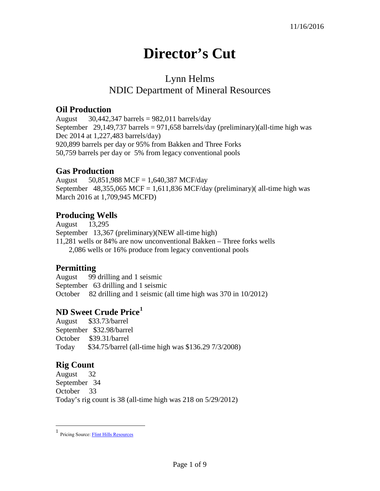# **Director's Cut**

## Lynn Helms NDIC Department of Mineral Resources

#### **Oil Production**

August  $30,442,347$  barrels = 982,011 barrels/day September 29,149,737 barrels = 971,658 barrels/day (preliminary)(all-time high was Dec 2014 at 1,227,483 barrels/day) 920,899 barrels per day or 95% from Bakken and Three Forks 50,759 barrels per day or 5% from legacy conventional pools

#### **Gas Production**

August 50,851,988 MCF = 1,640,387 MCF/day September 48,355,065 MCF = 1,611,836 MCF/day (preliminary)( all-time high was March 2016 at 1,709,945 MCFD)

#### **Producing Wells**

August 13,295 September 13,367 (preliminary)(NEW all-time high) 11,281 wells or 84% are now unconventional Bakken – Three forks wells 2,086 wells or 16% produce from legacy conventional pools

#### **Permitting**

August 99 drilling and 1 seismic September 63 drilling and 1 seismic October 82 drilling and 1 seismic (all time high was 370 in 10/2012)

### **ND Sweet Crude Price[1](#page-0-0)**

August \$33.73/barrel September \$32.98/barrel October \$39.31/barrel Today \$34.75/barrel (all-time high was \$136.29 7/3/2008)

### **Rig Count**

 $\overline{a}$ 

August 32 September 34 October 33 Today's rig count is 38 (all-time high was 218 on 5/29/2012)

<span id="page-0-0"></span><sup>1</sup> Pricing Source[: Flint Hills Resources](http://www.fhr.com/refining/bulletins.aspx?AspxAutoDetectCookieSupport=1)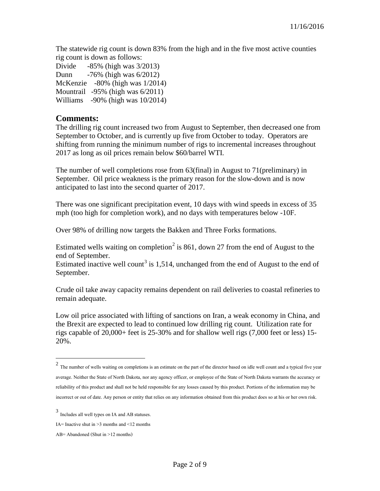The statewide rig count is down 83% from the high and in the five most active counties rig count is down as follows:

Divide -85% (high was 3/2013) Dunn -76% (high was 6/2012) McKenzie -80% (high was 1/2014) Mountrail -95% (high was 6/2011) Williams -90% (high was 10/2014)

#### **Comments:**

The drilling rig count increased two from August to September, then decreased one from September to October, and is currently up five from October to today. Operators are shifting from running the minimum number of rigs to incremental increases throughout 2017 as long as oil prices remain below \$60/barrel WTI.

The number of well completions rose from 63(final) in August to 71(preliminary) in September. Oil price weakness is the primary reason for the slow-down and is now anticipated to last into the second quarter of 2017.

There was one significant precipitation event, 10 days with wind speeds in excess of 35 mph (too high for completion work), and no days with temperatures below -10F.

Over 98% of drilling now targets the Bakken and Three Forks formations.

Estimated wells waiting on completion<sup>[2](#page-1-0)</sup> is 861, down 27 from the end of August to the end of September.

Estimated inactive well count<sup>[3](#page-1-1)</sup> is 1,514, unchanged from the end of August to the end of September.

Crude oil take away capacity remains dependent on rail deliveries to coastal refineries to remain adequate.

Low oil price associated with lifting of sanctions on Iran, a weak economy in China, and the Brexit are expected to lead to continued low drilling rig count. Utilization rate for rigs capable of 20,000+ feet is 25-30% and for shallow well rigs (7,000 feet or less) 15- 20%.

 $\overline{a}$ 

<span id="page-1-0"></span> $2$  The number of wells waiting on completions is an estimate on the part of the director based on idle well count and a typical five year average. Neither the State of North Dakota, nor any agency officer, or employee of the State of North Dakota warrants the accuracy or reliability of this product and shall not be held responsible for any losses caused by this product. Portions of the information may be incorrect or out of date. Any person or entity that relies on any information obtained from this product does so at his or her own risk.

<span id="page-1-1"></span><sup>3</sup> Includes all well types on IA and AB statuses.

IA= Inactive shut in  $\geq$ 3 months and  $\leq$ 12 months

AB= Abandoned (Shut in >12 months)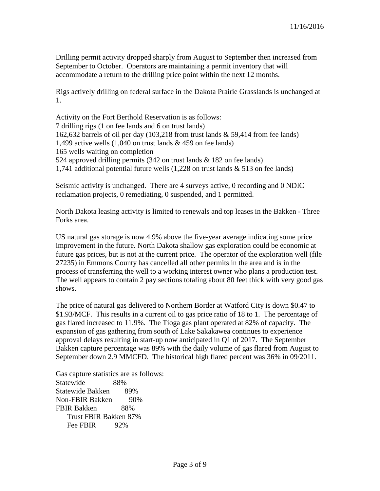Drilling permit activity dropped sharply from August to September then increased from September to October. Operators are maintaining a permit inventory that will accommodate a return to the drilling price point within the next 12 months.

Rigs actively drilling on federal surface in the Dakota Prairie Grasslands is unchanged at 1.

Activity on the Fort Berthold Reservation is as follows: 7 drilling rigs (1 on fee lands and 6 on trust lands) 162,632 barrels of oil per day (103,218 from trust lands & 59,414 from fee lands) 1,499 active wells  $(1,040$  on trust lands & 459 on fee lands) 165 wells waiting on completion 524 approved drilling permits (342 on trust lands & 182 on fee lands) 1,741 additional potential future wells (1,228 on trust lands & 513 on fee lands)

Seismic activity is unchanged. There are 4 surveys active, 0 recording and 0 NDIC reclamation projects, 0 remediating, 0 suspended, and 1 permitted.

North Dakota leasing activity is limited to renewals and top leases in the Bakken - Three Forks area.

US natural gas storage is now 4.9% above the five-year average indicating some price improvement in the future. North Dakota shallow gas exploration could be economic at future gas prices, but is not at the current price. The operator of the exploration well (file 27235) in Emmons County has cancelled all other permits in the area and is in the process of transferring the well to a working interest owner who plans a production test. The well appears to contain 2 pay sections totaling about 80 feet thick with very good gas shows.

The price of natural gas delivered to Northern Border at Watford City is down \$0.47 to \$1.93/MCF. This results in a current oil to gas price ratio of 18 to 1. The percentage of gas flared increased to 11.9%. The Tioga gas plant operated at 82% of capacity. The expansion of gas gathering from south of Lake Sakakawea continues to experience approval delays resulting in start-up now anticipated in Q1 of 2017. The September Bakken capture percentage was 89% with the daily volume of gas flared from August to September down 2.9 MMCFD. The historical high flared percent was 36% in 09/2011.

Gas capture statistics are as follows: Statewide 88% Statewide Bakken 89% Non-FBIR Bakken 90% FBIR Bakken 88% Trust FBIR Bakken 87% Fee FBIR 92%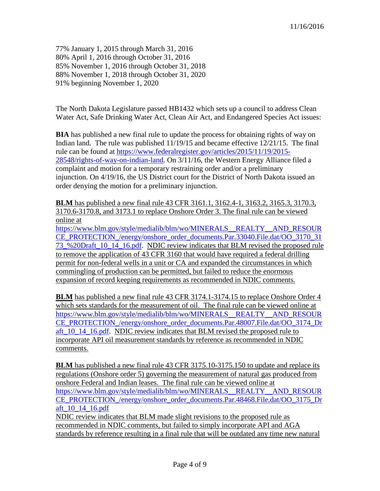77% January 1, 2015 through March 31, 2016 80% April 1, 2016 through October 31, 2016 85% November 1, 2016 through October 31, 2018 88% November 1, 2018 through October 31, 2020 91% beginning November 1, 2020

The North Dakota Legislature passed HB1432 which sets up a council to address Clean Water Act, Safe Drinking Water Act, Clean Air Act, and Endangered Species Act issues:

**BIA** has published a new final rule to update the process for obtaining rights of way on Indian land. The rule was published 11/19/15 and became effective 12/21/15. The final rule can be found at [https://www.federalregister.gov/articles/2015/11/19/2015-](https://www.federalregister.gov/articles/2015/11/19/2015-28548/rights-of-way-on-indian-land) [28548/rights-of-way-on-indian-land.](https://www.federalregister.gov/articles/2015/11/19/2015-28548/rights-of-way-on-indian-land) On 3/11/16, the Western Energy Alliance filed a complaint and motion for a temporary restraining order and/or a preliminary injunction. On 4/19/16, the US District court for the District of North Dakota issued an order denying the motion for a preliminary injunction.

**BLM** has published a new final rule 43 CFR 3161.1, 3162.4-1, 3163.2, 3165.3, 3170.3, 3170.6-3170.8, and 3173.1 to replace Onshore Order 3. The final rule can be viewed online at [https://www.blm.gov/style/medialib/blm/wo/MINERALS\\_\\_REALTY\\_\\_AND\\_RESOUR](https://www.blm.gov/style/medialib/blm/wo/MINERALS__REALTY__AND_RESOURCE_PROTECTION_/energy/onshore_order_documents.Par.33040.File.dat/OO_3170_3173_%20Draft_10_14_16.pdf)

[CE\\_PROTECTION\\_/energy/onshore\\_order\\_documents.Par.33040.File.dat/OO\\_3170\\_31](https://www.blm.gov/style/medialib/blm/wo/MINERALS__REALTY__AND_RESOURCE_PROTECTION_/energy/onshore_order_documents.Par.33040.File.dat/OO_3170_3173_%20Draft_10_14_16.pdf) [73\\_%20Draft\\_10\\_14\\_16.pdf.](https://www.blm.gov/style/medialib/blm/wo/MINERALS__REALTY__AND_RESOURCE_PROTECTION_/energy/onshore_order_documents.Par.33040.File.dat/OO_3170_3173_%20Draft_10_14_16.pdf) NDIC review indicates that BLM revised the proposed rule to remove the application of 43 CFR 3160 that would have required a federal drilling permit for non-federal wells in a unit or CA and expanded the circumstances in which commingling of production can be permitted, but failed to reduce the enormous expansion of record keeping requirements as recommended in NDIC comments.

**BLM** has published a new final rule 43 CFR 3174.1-3174.15 to replace Onshore Order 4 which sets standards for the measurement of oil. The final rule can be viewed online at [https://www.blm.gov/style/medialib/blm/wo/MINERALS\\_\\_REALTY\\_\\_AND\\_RESOUR](https://www.blm.gov/style/medialib/blm/wo/MINERALS__REALTY__AND_RESOURCE_PROTECTION_/energy/onshore_order_documents.Par.48007.File.dat/OO_3174_Draft_10_14_16.pdf) [CE\\_PROTECTION\\_/energy/onshore\\_order\\_documents.Par.48007.File.dat/OO\\_3174\\_Dr](https://www.blm.gov/style/medialib/blm/wo/MINERALS__REALTY__AND_RESOURCE_PROTECTION_/energy/onshore_order_documents.Par.48007.File.dat/OO_3174_Draft_10_14_16.pdf) [aft\\_10\\_14\\_16.pdf.](https://www.blm.gov/style/medialib/blm/wo/MINERALS__REALTY__AND_RESOURCE_PROTECTION_/energy/onshore_order_documents.Par.48007.File.dat/OO_3174_Draft_10_14_16.pdf) NDIC review indicates that BLM revised the proposed rule to incorporate API oil measurement standards by reference as recommended in NDIC comments.

**BLM** has published a new final rule 43 CFR 3175.10-3175.150 to update and replace its regulations (Onshore order 5) governing the measurement of natural gas produced from onshore Federal and Indian leases. The final rule can be viewed online at [https://www.blm.gov/style/medialib/blm/wo/MINERALS\\_\\_REALTY\\_\\_AND\\_RESOUR](https://www.blm.gov/style/medialib/blm/wo/MINERALS__REALTY__AND_RESOURCE_PROTECTION_/energy/onshore_order_documents.Par.48468.File.dat/OO_3175_Draft_10_14_16.pdf) [CE\\_PROTECTION\\_/energy/onshore\\_order\\_documents.Par.48468.File.dat/OO\\_3175\\_Dr](https://www.blm.gov/style/medialib/blm/wo/MINERALS__REALTY__AND_RESOURCE_PROTECTION_/energy/onshore_order_documents.Par.48468.File.dat/OO_3175_Draft_10_14_16.pdf) [aft\\_10\\_14\\_16.pdf](https://www.blm.gov/style/medialib/blm/wo/MINERALS__REALTY__AND_RESOURCE_PROTECTION_/energy/onshore_order_documents.Par.48468.File.dat/OO_3175_Draft_10_14_16.pdf)

NDIC review indicates that BLM made slight revisions to the proposed rule as recommended in NDIC comments, but failed to simply incorporate API and AGA standards by reference resulting in a final rule that will be outdated any time new natural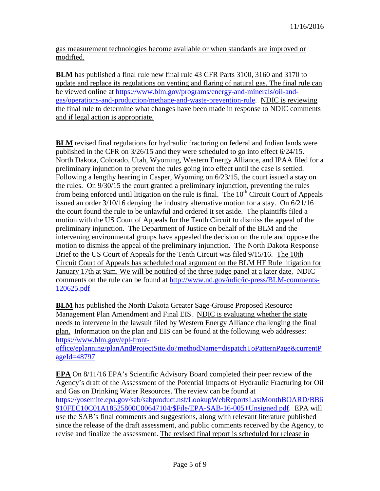gas measurement technologies become available or when standards are improved or modified.

**BLM** has published a final rule new final rule 43 CFR Parts 3100, 3160 and 3170 to update and replace its regulations on venting and flaring of natural gas. The final rule can be viewed online at [https://www.blm.gov/programs/energy-and-minerals/oil-and](https://www.blm.gov/programs/energy-and-minerals/oil-and-gas/operations-and-production/methane-and-waste-prevention-rule)[gas/operations-and-production/methane-and-waste-prevention-rule.](https://www.blm.gov/programs/energy-and-minerals/oil-and-gas/operations-and-production/methane-and-waste-prevention-rule) NDIC is reviewing the final rule to determine what changes have been made in response to NDIC comments and if legal action is appropriate.

**BLM** revised final regulations for hydraulic fracturing on federal and Indian lands were published in the CFR on 3/26/15 and they were scheduled to go into effect 6/24/15. North Dakota, Colorado, Utah, Wyoming, Western Energy Alliance, and IPAA filed for a preliminary injunction to prevent the rules going into effect until the case is settled. Following a lengthy hearing in Casper, Wyoming on 6/23/15, the court issued a stay on the rules. On 9/30/15 the court granted a preliminary injunction, preventing the rules from being enforced until litigation on the rule is final. The  $10<sup>th</sup>$  Circuit Court of Appeals issued an order 3/10/16 denying the industry alternative motion for a stay. On 6/21/16 the court found the rule to be unlawful and ordered it set aside. The plaintiffs filed a motion with the US Court of Appeals for the Tenth Circuit to dismiss the appeal of the preliminary injunction. The Department of Justice on behalf of the BLM and the intervening environmental groups have appealed the decision on the rule and oppose the motion to dismiss the appeal of the preliminary injunction. The North Dakota Response Brief to the US Court of Appeals for the Tenth Circuit was filed 9/15/16. The 10th Circuit Court of Appeals has scheduled oral argument on the BLM HF Rule litigation for January 17th at 9am. We will be notified of the three judge panel at a later date. NDIC comments on the rule can be found at [http://www.nd.gov/ndic/ic-press/BLM-comments-](http://www.nd.gov/ndic/ic-press/BLM-comments-120625.pdf)[120625.pdf](http://www.nd.gov/ndic/ic-press/BLM-comments-120625.pdf)

**BLM** has published the North Dakota Greater Sage-Grouse Proposed Resource Management Plan Amendment and Final EIS. NDIC is evaluating whether the state needs to intervene in the lawsuit filed by Western Energy Alliance challenging the final plan. Information on the plan and EIS can be found at the following web addresses: [https://www.blm.gov/epl-front-](https://www.blm.gov/epl-front-office/eplanning/planAndProjectSite.do?methodName=dispatchToPatternPage¤tPageId=48797)

[office/eplanning/planAndProjectSite.do?methodName=dispatchToPatternPage&currentP](https://www.blm.gov/epl-front-office/eplanning/planAndProjectSite.do?methodName=dispatchToPatternPage¤tPageId=48797) [ageId=48797](https://www.blm.gov/epl-front-office/eplanning/planAndProjectSite.do?methodName=dispatchToPatternPage¤tPageId=48797)

**EPA** On 8/11/16 EPA's Scientific Advisory Board completed their peer review of the Agency's draft of the Assessment of the Potential Impacts of Hydraulic Fracturing for Oil and Gas on Drinking Water Resources. The review can be found at [https://yosemite.epa.gov/sab/sabproduct.nsf/LookupWebReportsLastMonthBOARD/BB6](https://yosemite.epa.gov/sab/sabproduct.nsf/LookupWebReportsLastMonthBOARD/BB6910FEC10C01A18525800C00647104/$File/EPA-SAB-16-005+Unsigned.pdf) [910FEC10C01A18525800C00647104/\\$File/EPA-SAB-16-005+Unsigned.pdf.](https://yosemite.epa.gov/sab/sabproduct.nsf/LookupWebReportsLastMonthBOARD/BB6910FEC10C01A18525800C00647104/$File/EPA-SAB-16-005+Unsigned.pdf) EPA will use the SAB's final comments and suggestions, along with relevant literature published since the release of the draft assessment, and public comments received by the Agency, to revise and finalize the assessment. The revised final report is scheduled for release in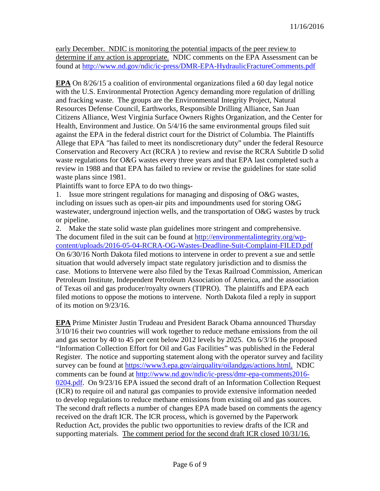early December. NDIC is monitoring the potential impacts of the peer review to determine if any action is appropriate. NDIC comments on the EPA Assessment can be found at<http://www.nd.gov/ndic/ic-press/DMR-EPA-HydraulicFractureComments.pdf>

**EPA** On 8/26/15 a coalition of environmental organizations filed a 60 day legal notice with the U.S. Environmental Protection Agency demanding more regulation of drilling and fracking waste. The groups are the Environmental Integrity Project, Natural Resources Defense Council, Earthworks, Responsible Drilling Alliance, San Juan Citizens Alliance, West Virginia Surface Owners Rights Organization, and the Center for Health, Environment and Justice. On 5/4/16 the same environmental groups filed suit against the EPA in the federal district court for the District of Columbia. The Plaintiffs Allege that EPA "has failed to meet its nondiscretionary duty" under the federal Resource Conservation and Recovery Act (RCRA ) to review and revise the RCRA Subtitle D solid waste regulations for O&G wastes every three years and that EPA last completed such a review in 1988 and that EPA has failed to review or revise the guidelines for state solid waste plans since 1981.

Plaintiffs want to force EPA to do two things-

1. Issue more stringent regulations for managing and disposing of O&G wastes, including on issues such as open-air pits and impoundments used for storing O&G wastewater, underground injection wells, and the transportation of O&G wastes by truck or pipeline.

2. Make the state solid waste plan guidelines more stringent and comprehensive. The document filed in the suit can be found at [http://environmentalintegrity.org/wp](http://environmentalintegrity.org/wp-content/uploads/2016-05-04-RCRA-OG-Wastes-Deadline-Suit-Complaint-FILED.pdf)[content/uploads/2016-05-04-RCRA-OG-Wastes-Deadline-Suit-Complaint-FILED.pdf](http://environmentalintegrity.org/wp-content/uploads/2016-05-04-RCRA-OG-Wastes-Deadline-Suit-Complaint-FILED.pdf) On 6/30/16 North Dakota filed motions to intervene in order to prevent a sue and settle situation that would adversely impact state regulatory jurisdiction and to dismiss the case. Motions to Intervene were also filed by the Texas Railroad Commission, American Petroleum Institute, Independent Petroleum Association of America, and the association of Texas oil and gas producer/royalty owners (TIPRO). The plaintiffs and EPA each filed motions to oppose the motions to intervene. North Dakota filed a reply in support of its motion on 9/23/16.

**EPA** Prime Minister Justin Trudeau and President Barack Obama announced Thursday 3/10/16 their two countries will work together to reduce methane emissions from the oil and gas sector by 40 to 45 per cent below 2012 levels by 2025. On 6/3/16 the proposed "Information Collection Effort for Oil and Gas Facilities" was published in the Federal Register. The notice and supporting statement along with the operator survey and facility survey can be found at [https://www3.epa.gov/airquality/oilandgas/actions.html.](https://www3.epa.gov/airquality/oilandgas/actions.html) NDIC comments can be found at [http://www.nd.gov/ndic/ic-press/dmr-epa-comments2016-](http://www.nd.gov/ndic/ic-press/dmr-epa-comments2016-0204.pdf) [0204.pdf.](http://www.nd.gov/ndic/ic-press/dmr-epa-comments2016-0204.pdf) On 9/23/16 EPA issued the second draft of an Information Collection Request (ICR) to require oil and natural gas companies to provide extensive information needed to develop regulations to reduce methane emissions from existing oil and gas sources. The second draft reflects a number of changes EPA made based on comments the agency received on the draft ICR. The ICR process, which is governed by the Paperwork Reduction Act, provides the public two opportunities to review drafts of the ICR and supporting materials. The comment period for the second draft ICR closed 10/31/16.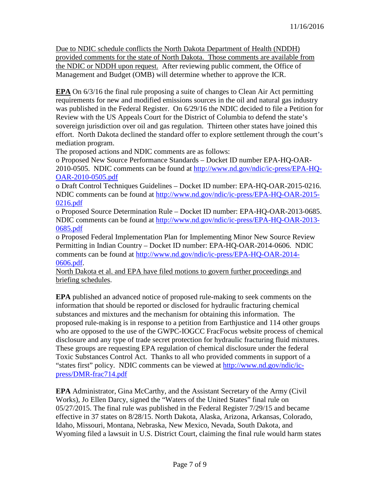Due to NDIC schedule conflicts the North Dakota Department of Health (NDDH) provided comments for the state of North Dakota. Those comments are available from the NDIC or NDDH upon request. After reviewing public comment, the Office of Management and Budget (OMB) will determine whether to approve the ICR.

**EPA** On 6/3/16 the final rule proposing a suite of changes to Clean Air Act permitting requirements for new and modified emissions sources in the oil and natural gas industry was published in the Federal Register. On 6/29/16 the NDIC decided to file a Petition for Review with the US Appeals Court for the District of Columbia to defend the state's sovereign jurisdiction over oil and gas regulation. Thirteen other states have joined this effort. North Dakota declined the standard offer to explore settlement through the court's mediation program.

The proposed actions and NDIC comments are as follows:

o Proposed New Source Performance Standards – Docket ID number EPA-HQ-OAR-2010-0505. NDIC comments can be found at [http://www.nd.gov/ndic/ic-press/EPA-HQ-](http://www.nd.gov/ndic/ic-press/EPA-HQ-OAR-2010-0505.pdf)[OAR-2010-0505.pdf](http://www.nd.gov/ndic/ic-press/EPA-HQ-OAR-2010-0505.pdf)

o Draft Control Techniques Guidelines – Docket ID number: EPA-HQ-OAR-2015-0216. NDIC comments can be found at [http://www.nd.gov/ndic/ic-press/EPA-HQ-OAR-2015-](http://www.nd.gov/ndic/ic-press/EPA-HQ-OAR-2015-0216.pdf) [0216.pdf](http://www.nd.gov/ndic/ic-press/EPA-HQ-OAR-2015-0216.pdf)

o Proposed Source Determination Rule – Docket ID number: EPA-HQ-OAR-2013-0685. NDIC comments can be found at [http://www.nd.gov/ndic/ic-press/EPA-HQ-OAR-2013-](http://www.nd.gov/ndic/ic-press/EPA-HQ-OAR-2013-0685.pdf) [0685.pdf](http://www.nd.gov/ndic/ic-press/EPA-HQ-OAR-2013-0685.pdf)

o Proposed Federal Implementation Plan for Implementing Minor New Source Review Permitting in Indian Country – Docket ID number: EPA-HQ-OAR-2014-0606. NDIC comments can be found at [http://www.nd.gov/ndic/ic-press/EPA-HQ-OAR-2014-](http://www.nd.gov/ndic/ic-press/EPA-HQ-OAR-2014-0606.pdf) [0606.pdf.](http://www.nd.gov/ndic/ic-press/EPA-HQ-OAR-2014-0606.pdf)

North Dakota et al. and EPA have filed motions to govern further proceedings and briefing schedules.

**EPA** published an advanced notice of proposed rule-making to seek comments on the information that should be reported or disclosed for hydraulic fracturing chemical substances and mixtures and the mechanism for obtaining this information. The proposed rule-making is in response to a petition from Earthjustice and 114 other groups who are opposed to the use of the GWPC-IOGCC FracFocus website process of chemical disclosure and any type of trade secret protection for hydraulic fracturing fluid mixtures. These groups are requesting EPA regulation of chemical disclosure under the federal Toxic Substances Control Act. Thanks to all who provided comments in support of a "states first" policy. NDIC comments can be viewed at [http://www.nd.gov/ndic/ic](http://www.nd.gov/ndic/ic-press/DMR-frac714.pdf)[press/DMR-frac714.pdf](http://www.nd.gov/ndic/ic-press/DMR-frac714.pdf)

**EPA** Administrator, Gina McCarthy, and the Assistant Secretary of the Army (Civil Works), Jo Ellen Darcy, signed the "Waters of the United States" final rule on 05/27/2015. The final rule was published in the Federal Register 7/29/15 and became effective in 37 states on 8/28/15. North Dakota, Alaska, Arizona, Arkansas, Colorado, Idaho, Missouri, Montana, Nebraska, New Mexico, Nevada, South Dakota, and Wyoming filed a lawsuit in U.S. District Court, claiming the final rule would harm states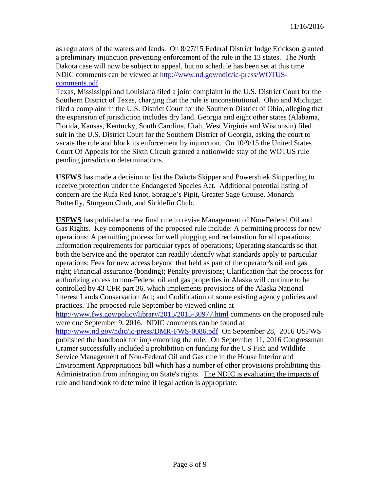as regulators of the waters and lands. On 8/27/15 Federal District Judge Erickson granted a preliminary injunction preventing enforcement of the rule in the 13 states. The North Dakota case will now be subject to appeal, but no schedule has been set at this time. NDIC comments can be viewed at [http://www.nd.gov/ndic/ic-press/WOTUS](http://www.nd.gov/ndic/ic-press/WOTUS-comments.pdf)[comments.pdf](http://www.nd.gov/ndic/ic-press/WOTUS-comments.pdf)

Texas, Mississippi and Louisiana filed a joint complaint in the U.S. District Court for the Southern District of Texas, charging that the rule is unconstitutional. Ohio and Michigan filed a complaint in the U.S. District Court for the Southern District of Ohio, alleging that the expansion of jurisdiction includes dry land. Georgia and eight other states (Alabama, Florida, Kansas, Kentucky, South Carolina, Utah, West Virginia and Wisconsin) filed suit in the U.S. District Court for the Southern District of Georgia, asking the court to vacate the rule and block its enforcement by injunction. On 10/9/15 the United States Court Of Appeals for the Sixth Circuit granted a nationwide stay of the WOTUS rule pending jurisdiction determinations.

**USFWS** has made a decision to list the Dakota Skipper and Powershiek Skipperling to receive protection under the Endangered Species Act. Additional potential listing of concern are the Rufa Red Knot, Sprague's Pipit, Greater Sage Grouse, Monarch Butterfly, Sturgeon Chub, and Sicklefin Chub.

**USFWS** has published a new final rule to revise Management of Non-Federal Oil and Gas Rights. Key components of the proposed rule include: A permitting process for new operations; A permitting process for well plugging and reclamation for all operations; Information requirements for particular types of operations; Operating standards so that both the Service and the operator can readily identify what standards apply to particular operations; Fees for new access beyond that held as part of the operator's oil and gas right; Financial assurance (bonding); Penalty provisions; Clarification that the process for authorizing access to non-Federal oil and gas properties in Alaska will continue to be controlled by 43 CFR part 36, which implements provisions of the Alaska National Interest Lands Conservation Act; and Codification of some existing agency policies and practices. The proposed rule September be viewed online at <http://www.fws.gov/policy/library/2015/2015-30977.html> comments on the proposed rule were due September 9, 2016. NDIC comments can be found at <http://www.nd.gov/ndic/ic-press/DMR-FWS-0086.pdf> On September 28, 2016 USFWS published the handbook for implementing the rule. On September 11, 2016 Congressman Cramer successfully included a prohibition on funding for the US Fish and Wildlife Service Management of Non-Federal Oil and Gas rule in the House Interior and Environment Appropriations bill which has a number of other provisions prohibiting this Administration from infringing on State's rights. The NDIC is evaluating the impacts of rule and handbook to determine if legal action is appropriate.